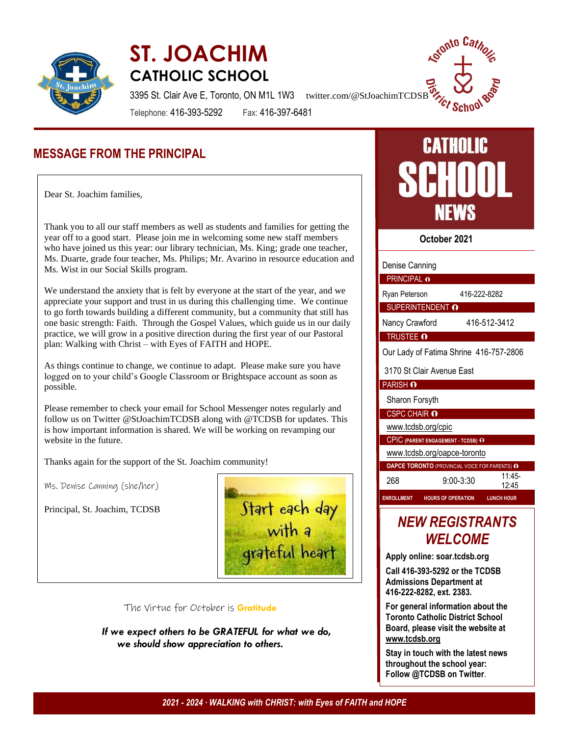

# **ST. JOACHIM CATHOLIC SCHOOL**



3395 St. Clair Ave E, Toronto, ON M1L 1W3 twitter.com/@StJoachimTCDSB

Telephone: 416-393-5292 Fax: 416-397-6481

## **MESSAGE FROM THE PRINCIPAL**

Dear St. Joachim families,

 Thank you to all our staff members as well as students and families for getting the year off to a good start. Please join me in welcoming some new staff members who have joined us this year: our library technician, Ms. King; grade one teacher, Ms. Duarte, grade four teacher, Ms. Philips; Mr. Avarino in resource education and Ms. Wist in our Social Skills program.

We understand the anxiety that is felt by everyone at the start of the year, and we appreciate your support and trust in us during this challenging time. We continue to go forth towards building a different community, but a community that still has one basic strength: Faith. Through the Gospel Values, which guide us in our daily practice, we will grow in a positive direction during the first year of our Pastoral plan: Walking with Christ – with Eyes of FAITH and HOPE.

As things continue to change, we continue to adapt. Please make sure you have logged on to your child's Google Classroom or Brightspace account as soon as possible.

Please remember to check your email for School Messenger notes regularly and follow us on Twitter @StJoachimTCDSB along with @TCDSB for updates. This is how important information is shared. We will be working on revamping our website in the future.

Thanks again for the support of the St. Joachim community!

Ms. Denise Canning (she/her)

Principal, St. Joachim, TCDSB



#### The Virtue for October is **Gratitude**

 *If we expect others to be GRATEFUL for what we do, we should show appreciation to others.*



**October 2021**

| Denise Canning                                 |  |                           |                   |  |  |  |
|------------------------------------------------|--|---------------------------|-------------------|--|--|--|
| PRINCIPAL o                                    |  |                           |                   |  |  |  |
| Ryan Peterson                                  |  |                           | 416-222-8282      |  |  |  |
| SUPERINTENDENT O                               |  |                           |                   |  |  |  |
| Nancy Crawford                                 |  |                           | 416-512-3412      |  |  |  |
| <b>TRUSTEE O</b>                               |  |                           |                   |  |  |  |
| Our Lady of Fatima Shrine 416-757-2806         |  |                           |                   |  |  |  |
| 3170 St Clair Avenue East                      |  |                           |                   |  |  |  |
| PARISH O                                       |  |                           |                   |  |  |  |
| Sharon Forsyth                                 |  |                           |                   |  |  |  |
| <b>CSPC CHAIR O</b>                            |  |                           |                   |  |  |  |
| www.tcdsb.org/cpic                             |  |                           |                   |  |  |  |
| <b>CPIC (PARENT ENGAGEMENT - TCDSB) O</b>      |  |                           |                   |  |  |  |
| www.tcdsb.org/oapce-toronto                    |  |                           |                   |  |  |  |
| OAPCE TORONTO (PROVINCIAL VOICE FOR PARENTS) O |  |                           |                   |  |  |  |
| 268                                            |  | $9:00 - 3:30$             | $11:45-$<br>12:45 |  |  |  |
| <b>ENROLLMENT</b>                              |  | <b>HOURS OF OPERATION</b> | <b>LUNCH HOUR</b> |  |  |  |
|                                                |  |                           |                   |  |  |  |

## *NEW REGISTRANTS WELCOME*

**Apply online: soar.tcdsb.org**

**Call 416-393-5292 or the TCDSB Admissions Department at 416-222-8282, ext. 2383.**

**For general information about the Toronto Catholic District School Board, please visit the website at [www.tcdsb.org](http://www.tcdsb.org/)**

**Stay in touch with the latest news throughout the school year: Follow @TCDSB on Twitter**.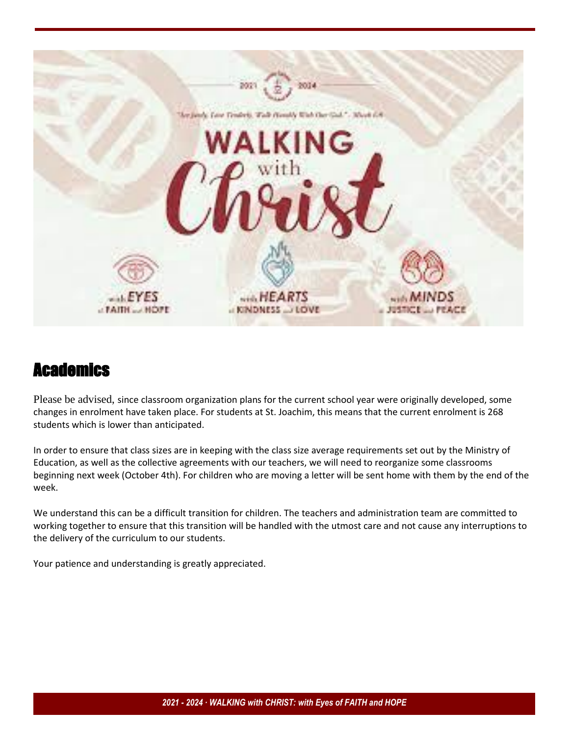

## **Academics**

Please be advised, since classroom organization plans for the current school year were originally developed, some changes in enrolment have taken place. For students at St. Joachim, this means that the current enrolment is 268 students which is lower than anticipated.

In order to ensure that class sizes are in keeping with the class size average requirements set out by the Ministry of Education, as well as the collective agreements with our teachers, we will need to reorganize some classrooms beginning next week (October 4th). For children who are moving a letter will be sent home with them by the end of the week.

We understand this can be a difficult transition for children. The teachers and administration team are committed to working together to ensure that this transition will be handled with the utmost care and not cause any interruptions to the delivery of the curriculum to our students.

Your patience and understanding is greatly appreciated.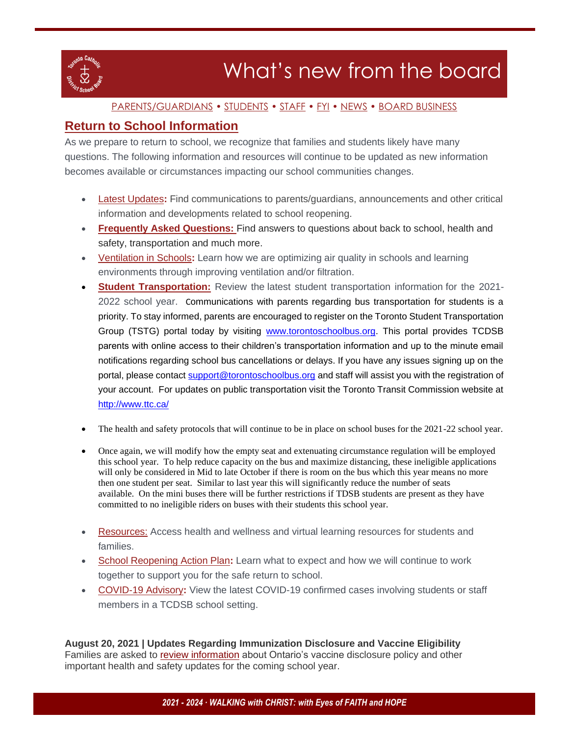

#### [PARENTS/GUARDIANS](#page-3-0) • STUDENTS • STAFF • FYI • NEWS • BOARD BUSINESS

### **[Return to School Information](https://t.e2ma.net/click/h6zfzd/pg1lfpg/507kww)**

As we prepare to return to school, we recognize that families and students likely have many questions. The following information and resources will continue to be updated as new information becomes available or circumstances impacting our school communities changes.

- [Latest Updates](https://t.e2ma.net/click/h6zfzd/pg1lfpg/lt8kww)**:** Find communications to parents/guardians, announcements and other critical information and developments related to school reopening.
- **[Frequently Asked Questions:](https://t.e2ma.net/click/h6zfzd/pg1lfpg/1l9kww)** Find answers to questions about back to school, health and safety, transportation and much more.
- [Ventilation in Schools](https://t.e2ma.net/click/h6zfzd/pg1lfpg/healww)**:** Learn how we are optimizing air quality in schools and learning environments through improving ventilation and/or filtration.
- **[Student Transportation:](https://t.e2ma.net/click/h6zfzd/pg1lfpg/x6alww)** Review the latest student transportation information for the 2021- 2022 school year. Communications with parents regarding bus transportation for students is a priority. To stay informed, parents are encouraged to register on the Toronto Student Transportation Group (TSTG) portal today by visiting [www.torontoschoolbus.org.](http://www.torontoschoolbus.org/) This portal provides TCDSB parents with online access to their children's transportation information and up to the minute email notifications regarding school bus cancellations or delays. If you have any issues signing up on the portal, please contact [support@torontoschoolbus.org](mailto:support@torontoschoolbus.org) and staff will assist you with the registration of your account. For updates on public transportation visit the Toronto Transit Commission website at <http://www.ttc.ca/>
- The health and safety protocols that will continue to be in place on school buses for the 2021-22 school year.
- Once again, we will modify how the empty seat and extenuating circumstance regulation will be employed this school year. To help reduce capacity on the bus and maximize distancing, these ineligible applications will only be considered in Mid to late October if there is room on the bus which this year means no more then one student per seat. Similar to last year this will significantly reduce the number of seats available. On the mini buses there will be further restrictions if TDSB students are present as they have committed to no ineligible riders on buses with their students this school year.
- [Resources:](https://t.e2ma.net/click/h6zfzd/pg1lfpg/dzblww) Access health and wellness and virtual learning resources for students and families.
- [School Reopening Action Plan](https://t.e2ma.net/click/h6zfzd/pg1lfpg/trclww)**:** Learn what to expect and how we will continue to work together to support you for the safe return to school.
- [COVID-19 Advisory](https://t.e2ma.net/click/h6zfzd/pg1lfpg/9jdlww)**:** View the latest COVID-19 confirmed cases involving students or staff members in a TCDSB school setting[.](https://t.e2ma.net/click/h6zfzd/pg1lfpg/pcelww)

**August 20, 2021 | Updates Regarding Immunization Disclosure and Vaccine Eligibility** Families are asked to [review information](https://www.tcdsb.org/FORSTUDENTS/back-to-school/Documents/tcdsb-letter-vaccine-policy-aug-2021.pdf) about Ontario's vaccine disclosure policy and other important health and safety updates for the coming school year.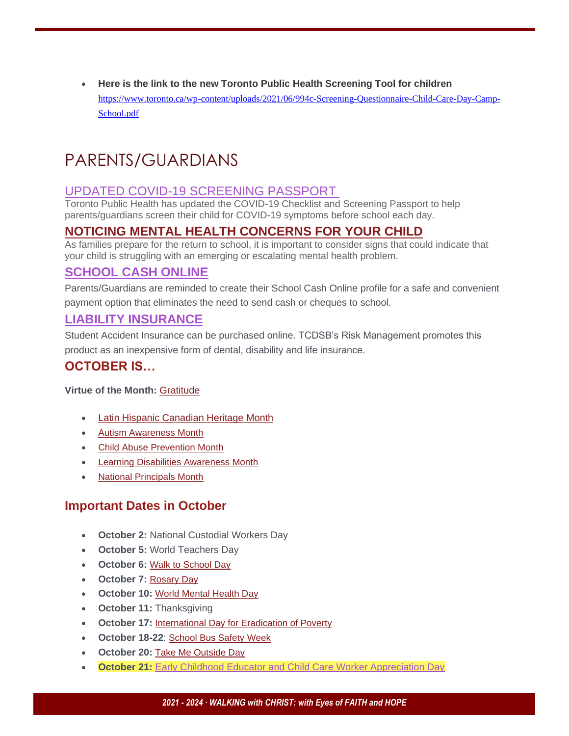• **Here is the link to the new Toronto Public Health Screening Tool for children**  [https://www.toronto.ca/wp-content/uploads/2021/06/994c-Screening-Questionnaire-Child-Care-Day-Camp-](https://www.toronto.ca/wp-content/uploads/2021/06/994c-Screening-Questionnaire-Child-Care-Day-Camp-School.pdf)[School.pdf](https://www.toronto.ca/wp-content/uploads/2021/06/994c-Screening-Questionnaire-Child-Care-Day-Camp-School.pdf)

# <span id="page-3-0"></span>PARENTS/GUARDIANS

### [UPDATED COVID-19 SCREENING PASSPORT](https://t.e2ma.net/click/h6zfzd/pg1lfpg/d3ilww)

Toronto Public Health has updated the COVID-19 Checklist and Screening Passport to help parents/guardians screen their child for COVID-19 symptoms before school each day.

## **[NOTICING MENTAL HEALTH CONCERNS FOR YOUR CHILD](https://t.e2ma.net/click/h6zfzd/pg1lfpg/9nklww)**

As families prepare for the return to school, it is important to consider signs that could indicate that your child is struggling with an emerging or escalating mental health problem.

### **[SCHOOL CASH ONLINE](https://t.e2ma.net/click/h6zfzd/pg1lfpg/58llww)**

Parents/Guardians are reminded to create their School Cash Online profile for a safe and convenient payment option that eliminates the need to send cash or cheques to school.

### **[LIABILITY INSURANCE](https://t.e2ma.net/click/h6zfzd/pg1lfpg/1tnlww)**

Student Accident Insurance can be purchased online. TCDSB's Risk Management promotes this product as an inexpensive form of dental, disability and life insurance.

### **OCTOBER IS…**

#### **Virtue of the Month:** [Gratitude](https://t.e2ma.net/click/p4vl2d/pg1lfpg/t7g31w)

- [Latin Hispanic Canadian Heritage Month](https://t.e2ma.net/click/p4vl2d/pg1lfpg/9zh31w)
- [Autism Awareness Month](https://t.e2ma.net/click/p4vl2d/pg1lfpg/psi31w)
- [Child Abuse Prevention Month](https://t.e2ma.net/click/p4vl2d/pg1lfpg/5kj31w)
- [Learning Disabilities Awareness Month](https://t.e2ma.net/click/p4vl2d/pg1lfpg/ldk31w)
- [National Principals Month](https://t.e2ma.net/click/p4vl2d/pg1lfpg/15k31w)

### **Important Dates in October**

- **October 2:** National Custodial Workers Day
- **October 5:** World Teachers Day
- **October 6:** [Walk to School Day](https://t.e2ma.net/click/p4vl2d/pg1lfpg/xqm31w)
- **October 7:** [Rosary Day](https://t.e2ma.net/click/p4vl2d/pg1lfpg/djn31w)
- **October 10:** [World Mental Health Day](https://t.e2ma.net/click/p4vl2d/pg1lfpg/tbo31w)
- **October 11:** Thanksgiving
- **October 17:** [International Day for Eradication of Poverty](https://t.e2ma.net/click/p4vl2d/pg1lfpg/93o31w)
- **October 18-22**: [School Bus Safety Week](https://t.e2ma.net/click/p4vl2d/pg1lfpg/pwp31w)
- **October 20:** [Take Me Outside Day](https://t.e2ma.net/click/p4vl2d/pg1lfpg/5oq31w)
- **October 21:** [Early Childhood Educator and Child Care Worker Appreciation Day](https://t.e2ma.net/click/p4vl2d/pg1lfpg/lhr31w)

#### *2021 - 2024 ∙ WALKING with CHRIST: with Eyes of FAITH and HOPE*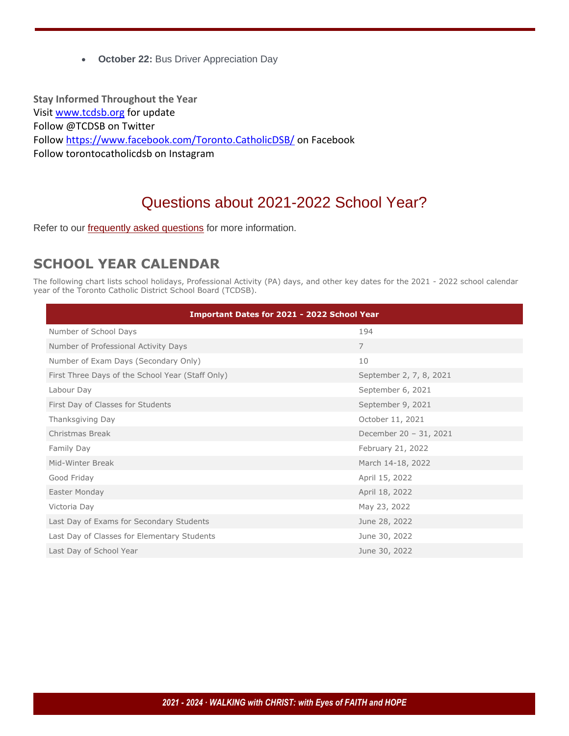• **October 22:** Bus Driver Appreciation Day

**Stay Informed Throughout the Year** Visi[t www.tcdsb.org](http://www.tcdsb.org/) for update Follow @TCDSB on Twitter Follow<https://www.facebook.com/Toronto.CatholicDSB/> on Facebook Follow torontocatholicdsb on Instagram

## Questions about 2021-2022 School Year?

Refer to our **[frequently asked questions](https://www.tcdsb.org/FORSTUDENTS/back-to-school/Pages/faq.aspx)** for more information.

## **SCHOOL YEAR CALENDAR**

The following chart lists school holidays, Professional Activity (PA) days, and other key dates for the 2021 - 2022 school calendar year of the Toronto Catholic District School Board (TCDSB).

| <b>Important Dates for 2021 - 2022 School Year</b> |                         |  |  |  |  |
|----------------------------------------------------|-------------------------|--|--|--|--|
| Number of School Days                              | 194                     |  |  |  |  |
| Number of Professional Activity Days               | $\overline{7}$          |  |  |  |  |
| Number of Exam Days (Secondary Only)               | 10                      |  |  |  |  |
| First Three Days of the School Year (Staff Only)   | September 2, 7, 8, 2021 |  |  |  |  |
| Labour Day                                         | September 6, 2021       |  |  |  |  |
| First Day of Classes for Students                  | September 9, 2021       |  |  |  |  |
| Thanksgiving Day                                   | October 11, 2021        |  |  |  |  |
| Christmas Break                                    | December 20 - 31, 2021  |  |  |  |  |
| Family Day                                         | February 21, 2022       |  |  |  |  |
| Mid-Winter Break                                   | March 14-18, 2022       |  |  |  |  |
| Good Friday                                        | April 15, 2022          |  |  |  |  |
| Easter Monday                                      | April 18, 2022          |  |  |  |  |
| Victoria Day                                       | May 23, 2022            |  |  |  |  |
| Last Day of Exams for Secondary Students           | June 28, 2022           |  |  |  |  |
| Last Day of Classes for Elementary Students        | June 30, 2022           |  |  |  |  |
| Last Day of School Year                            | June 30, 2022           |  |  |  |  |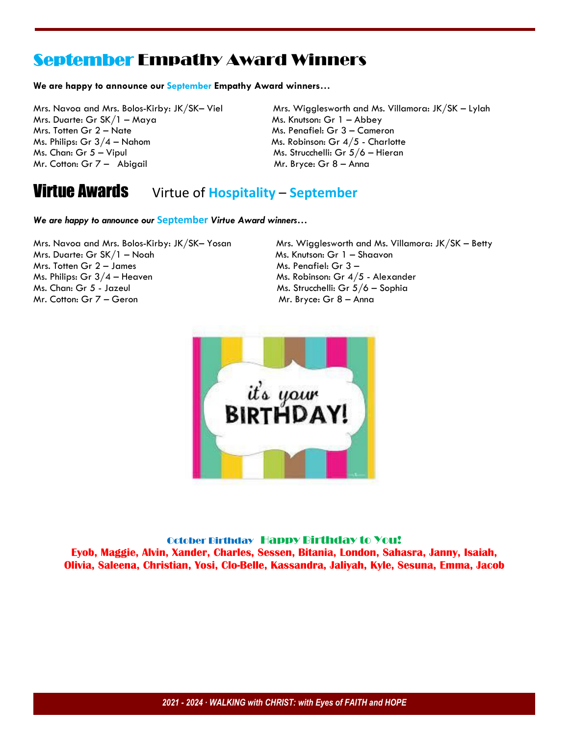## September Empathy Award Winners

#### **We are happy to announce our September Empathy Award winners…**

Mrs. Duarte: Gr  $SK/1 - Maya$  Ms. Knutson: Gr 1 – Abbey Mrs. Totten Gr 2 – Nate Ms. Penafiel: Gr 3 – Cameron Ms. Philips: Gr  $3/4$  – Nahom Ms. Robinson: Gr  $4/5$  - Charlotte Ms. Chan: Gr 5 – Vipul Ms. Strucchelli: Gr 5/6 – Hieran Mr. Cotton: Gr  $7 -$  Abigail Mr. Bryce: Gr 8 – Anna

Mrs. Navoa and Mrs. Bolos-Kirby: JK/SK– Viel Mrs. Wigglesworth and Ms. Villamora: JK/SK – Lylah

## Virtue Awards Virtue of **Hospitality** – **September**

*We are happy to announce our* **September** *Virtue Award winners…*

Mrs. Duarte: Gr SK/1 – Noah Ms. Knutson: Gr 1 – Shaavon  $Mrs.$  Totten Gr  $2 - James$  Ms. Penafiel: Gr  $3 - 2$ Ms. Philips: Gr  $3/4$  – Heaven Ms. Robinson: Gr  $4/5$  - Alexander Ms. Chan: Gr 5 - Jazeul Ms. Strucchelli: Gr 5/6 – Sophia Mr. Cotton: Gr 7 – Geron Mr. Bryce: Gr 8 – Anna

Mrs. Navoa and Mrs. Bolos-Kirby: JK/SK– Yosan Mrs. Wigglesworth and Ms. Villamora: JK/SK – Betty



October Birthday Happy Birthday to You! **Eyob, Maggie, Alvin, Xander, Charles, Sessen, Bitania, London, Sahasra, Janny, Isaiah, Olivia, Saleena, Christian, Yosi, Clo-Belle, Kassandra, Jaliyah, Kyle, Sesuna, Emma, Jacob**